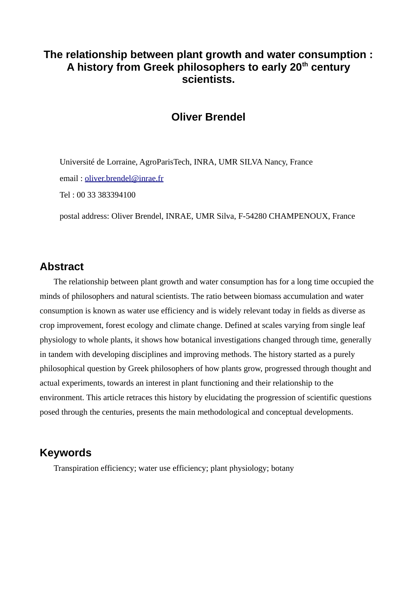# **The relationship between plant growth and water consumption : A history from Greek philosophers to early 20th century scientists.**

### **Oliver Brendel**

Université de Lorraine, AgroParisTech, INRA, UMR SILVA Nancy, France email: [oliver.brendel@inrae.fr](mailto:oliver.brendel@inrae.fr)

Tel : 00 33 383394100

postal address: Oliver Brendel, INRAE, UMR Silva, F-54280 CHAMPENOUX, France

#### **Abstract**

The relationship between plant growth and water consumption has for a long time occupied the minds of philosophers and natural scientists. The ratio between biomass accumulation and water consumption is known as water use efficiency and is widely relevant today in fields as diverse as crop improvement, forest ecology and climate change. Defined at scales varying from single leaf physiology to whole plants, it shows how botanical investigations changed through time, generally in tandem with developing disciplines and improving methods. The history started as a purely philosophical question by Greek philosophers of how plants grow, progressed through thought and actual experiments, towards an interest in plant functioning and their relationship to the environment. This article retraces this history by elucidating the progression of scientific questions posed through the centuries, presents the main methodological and conceptual developments.

#### **Keywords**

Transpiration efficiency; water use efficiency; plant physiology; botany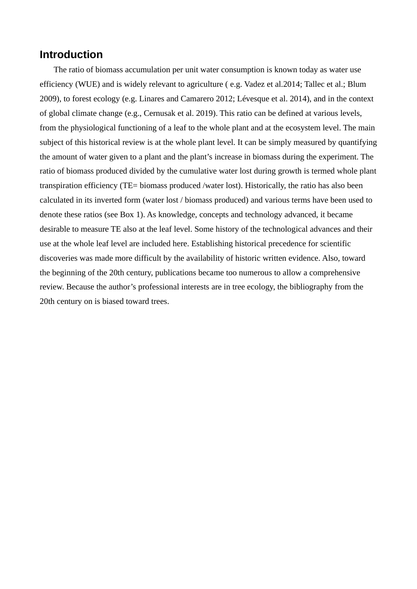#### **Introduction**

The ratio of biomass accumulation per unit water consumption is known today as water use efficiency (WUE) and is widely relevant to agriculture (e.g. Vadez et al. 2014; Tallec et al.; Blum 2009), to forest ecology (e.g. Linares and Camarero 2012; Lévesque et al. 2014), and in the context of global climate change (e.g., Cernusak et al. 2019). This ratio can be defined at various levels, from the physiological functioning of a leaf to the whole plant and at the ecosystem level. The main subject of this historical review is at the whole plant level. It can be simply measured by quantifying the amount of water given to a plant and the plant's increase in biomass during the experiment. The ratio of biomass produced divided by the cumulative water lost during growth is termed whole plant transpiration efficiency (TE= biomass produced /water lost). Historically, the ratio has also been calculated in its inverted form (water lost / biomass produced) and various terms have been used to denote these ratios (see Box 1). As knowledge, concepts and technology advanced, it became desirable to measure TE also at the leaf level. Some history of the technological advances and their use at the whole leaf level are included here. Establishing historical precedence for scientific discoveries was made more difficult by the availability of historic written evidence. Also, toward the beginning of the 20th century, publications became too numerous to allow a comprehensive review. Because the author's professional interests are in tree ecology, the bibliography from the 20th century on is biased toward trees.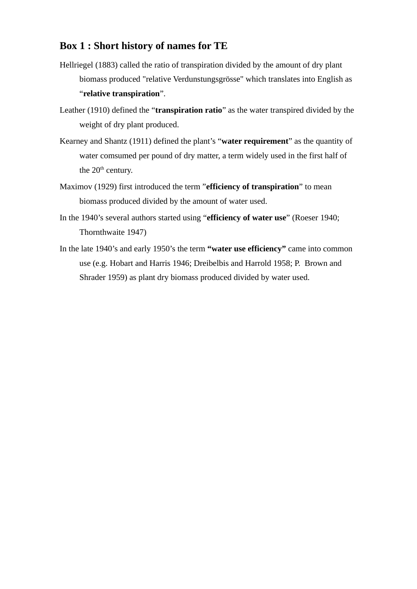### **Box 1 : Short history of names for TE**

- Hellriegel (1883) called the ratio of transpiration divided by the amount of dry plant biomass produced "relative Verdunstungsgrösse" which translates into English as "**relative transpiration**".
- Leather (1910) defined the "**transpiration ratio**" as the water transpired divided by the weight of dry plant produced.
- Kearney and Shantz (1911) defined the plant's "**water requirement**" as the quantity of water comsumed per pound of dry matter, a term widely used in the first half of the 20<sup>th</sup> century.
- Maximov (1929) first introduced the term "**efficiency of transpiration**" to mean biomass produced divided by the amount of water used.
- In the 1940's several authors started using "**efficiency of water use**" (Roeser 1940; Thornthwaite 1947)
- In the late 1940's and early 1950's the term **"water use efficiency"** came into common use (e.g. Hobart and Harris 1946; Dreibelbis and Harrold 1958; P. Brown and Shrader 1959) as plant dry biomass produced divided by water used.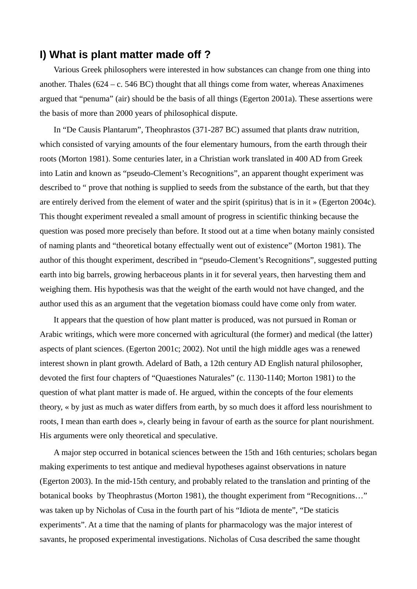### **I) What is plant matter made off ?**

Various Greek philosophers were interested in how substances can change from one thing into another. Thales (624 – c. 546 BC) thought that all things come from water, whereas Anaximenes argued that "penuma" (air) should be the basis of all things (Egerton 2001a). These assertions were the basis of more than 2000 years of philosophical dispute.

In "De Causis Plantarum", Theophrastos (371-287 BC) assumed that plants draw nutrition, which consisted of varying amounts of the four elementary humours, from the earth through their roots (Morton 1981). Some centuries later, in a Christian work translated in 400 AD from Greek into Latin and known as "pseudo-Clement's Recognitions", an apparent thought experiment was described to " prove that nothing is supplied to seeds from the substance of the earth, but that they are entirely derived from the element of water and the spirit (spiritus) that is in it » (Egerton 2004c). This thought experiment revealed a small amount of progress in scientific thinking because the question was posed more precisely than before. It stood out at a time when botany mainly consisted of naming plants and "theoretical botany effectually went out of existence" (Morton 1981). The author of this thought experiment, described in "pseudo-Clement's Recognitions", suggested putting earth into big barrels, growing herbaceous plants in it for several years, then harvesting them and weighing them. His hypothesis was that the weight of the earth would not have changed, and the author used this as an argument that the vegetation biomass could have come only from water.

It appears that the question of how plant matter is produced, was not pursued in Roman or Arabic writings, which were more concerned with agricultural (the former) and medical (the latter) aspects of plant sciences. (Egerton 2001c; 2002). Not until the high middle ages was a renewed interest shown in plant growth. Adelard of Bath, a 12th century AD English natural philosopher, devoted the first four chapters of "Quaestiones Naturales" (c. 1130-1140; Morton 1981) to the question of what plant matter is made of. He argued, within the concepts of the four elements theory, « by just as much as water differs from earth, by so much does it afford less nourishment to roots, I mean than earth does », clearly being in favour of earth as the source for plant nourishment. His arguments were only theoretical and speculative.

A major step occurred in botanical sciences between the 15th and 16th centuries; scholars began making experiments to test antique and medieval hypotheses against observations in nature (Egerton 2003). In the mid-15th century, and probably related to the translation and printing of the botanical books by Theophrastus (Morton 1981), the thought experiment from "Recognitions..." was taken up by Nicholas of Cusa in the fourth part of his "Idiota de mente", "De staticis experiments". At a time that the naming of plants for pharmacology was the major interest of savants, he proposed experimental investigations. Nicholas of Cusa described the same thought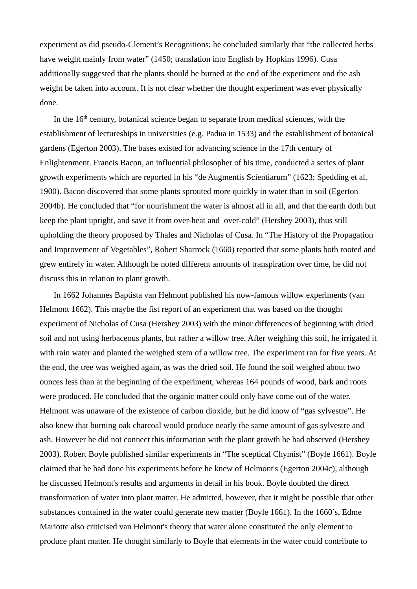experiment as did pseudo-Clement's Recognitions; he concluded similarly that "the collected herbs have weight mainly from water" (1450; translation into English by Hopkins 1996). Cusa additionally suggested that the plants should be burned at the end of the experiment and the ash weight be taken into account. It is not clear whether the thought experiment was ever physically done.

In the  $16<sup>th</sup>$  century, botanical science began to separate from medical sciences, with the establishment of lectureships in universities (e.g. Padua in 1533) and the establishment of botanical gardens (Egerton 2003). The bases existed for advancing science in the 17th century of Enlightenment. Francis Bacon, an influential philosopher of his time, conducted a series of plant growth experiments which are reported in his "de Augmentis Scientiarum" (1623; Spedding et al. 1900). Bacon discovered that some plants sprouted more quickly in water than in soil (Egerton 2004b). He concluded that "for nourishment the water is almost all in all, and that the earth doth but keep the plant upright, and save it from over-heat and over-cold" (Hershey 2003), thus still upholding the theory proposed by Thales and Nicholas of Cusa. In "The History of the Propagation and Improvement of Vegetables", Robert Sharrock (1660) reported that some plants both rooted and grew entirely in water. Although he noted different amounts of transpiration over time, he did not discuss this in relation to plant growth.

In 1662 Johannes Baptista van Helmont published his now-famous willow experiments (van Helmont 1662). This maybe the fist report of an experiment that was based on the thought experiment of Nicholas of Cusa (Hershey 2003) with the minor differences of beginning with dried soil and not using herbaceous plants, but rather a willow tree. After weighing this soil, he irrigated it with rain water and planted the weighed stem of a willow tree. The experiment ran for five years. At the end, the tree was weighed again, as was the dried soil. He found the soil weighed about two ounces less than at the beginning of the experiment, whereas 164 pounds of wood, bark and roots were produced. He concluded that the organic matter could only have come out of the water. Helmont was unaware of the existence of carbon dioxide, but he did know of "gas sylvestre". He also knew that burning oak charcoal would produce nearly the same amount of gas sylvestre and ash. However he did not connect this information with the plant growth he had observed (Hershey 2003). Robert Boyle published similar experiments in "The sceptical Chymist" (Boyle 1661). Boyle claimed that he had done his experiments before he knew of Helmont's (Egerton 2004c), although he discussed Helmont's results and arguments in detail in his book. Boyle doubted the direct transformation of water into plant matter. He admitted, however, that it might be possible that other substances contained in the water could generate new matter (Boyle 1661). In the 1660's, Edme Mariotte also criticised van Helmont's theory that water alone constituted the only element to produce plant matter. He thought similarly to Boyle that elements in the water could contribute to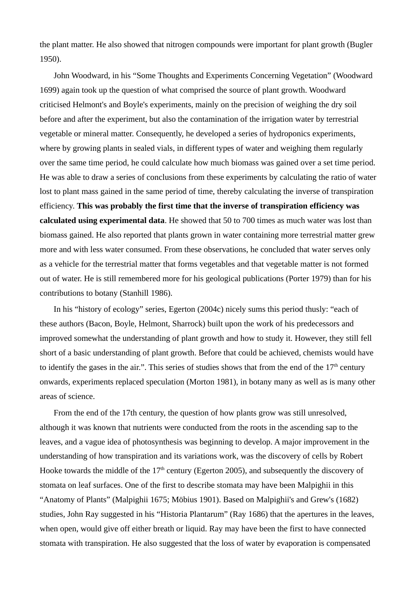the plant matter. He also showed that nitrogen compounds were important for plant growth (Bugler 1950).

John Woodward, in his "Some Thoughts and Experiments Concerning Vegetation" (Woodward 1699) again took up the question of what comprised the source of plant growth. Woodward criticised Helmont's and Boyle's experiments, mainly on the precision of weighing the dry soil before and after the experiment, but also the contamination of the irrigation water by terrestrial vegetable or mineral matter. Consequently, he developed a series of hydroponics experiments, where by growing plants in sealed vials, in different types of water and weighing them regularly over the same time period, he could calculate how much biomass was gained over a set time period. He was able to draw a series of conclusions from these experiments by calculating the ratio of water lost to plant mass gained in the same period of time, thereby calculating the inverse of transpiration efficiency. **This was probably the first time that the inverse of transpiration efficiency was calculated using experimental data**. He showed that 50 to 700 times as much water was lost than biomass gained. He also reported that plants grown in water containing more terrestrial matter grew more and with less water consumed. From these observations, he concluded that water serves only as a vehicle for the terrestrial matter that forms vegetables and that vegetable matter is not formed out of water. He is still remembered more for his geological publications (Porter 1979) than for his contributions to botany (Stanhill 1986).

In his "history of ecology" series, Egerton (2004c) nicely sums this period thusly: "each of these authors (Bacon, Boyle, Helmont, Sharrock) built upon the work of his predecessors and improved somewhat the understanding of plant growth and how to study it. However, they still fell short of a basic understanding of plant growth. Before that could be achieved, chemists would have to identify the gases in the air.". This series of studies shows that from the end of the  $17<sup>th</sup>$  century onwards, experiments replaced speculation (Morton 1981), in botany many as well as is many other areas of science.

From the end of the 17th century, the question of how plants grow was still unresolved, although it was known that nutrients were conducted from the roots in the ascending sap to the leaves, and a vague idea of photosynthesis was beginning to develop. A major improvement in the understanding of how transpiration and its variations work, was the discovery of cells by Robert Hooke towards the middle of the  $17<sup>th</sup>$  century (Egerton 2005), and subsequently the discovery of stomata on leaf surfaces. One of the first to describe stomata may have been Malpighii in this "Anatomy of Plants" (Malpighii 1675; Möbius 1901). Based on Malpighii's and Grew's (1682) studies, John Ray suggested in his "Historia Plantarum" (Ray 1686) that the apertures in the leaves, when open, would give off either breath or liquid. Ray may have been the first to have connected stomata with transpiration. He also suggested that the loss of water by evaporation is compensated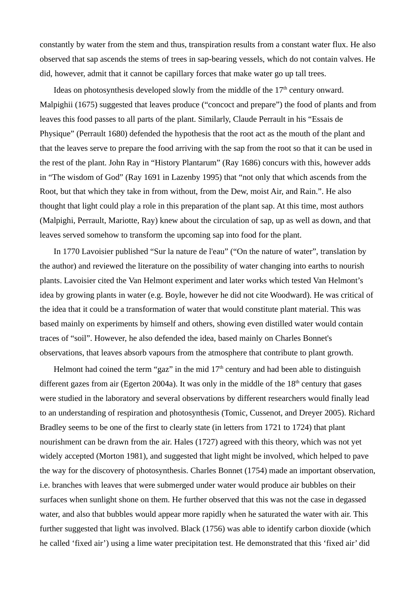constantly by water from the stem and thus, transpiration results from a constant water flux. He also observed that sap ascends the stems of trees in sap-bearing vessels, which do not contain valves. He did, however, admit that it cannot be capillary forces that make water go up tall trees.

Ideas on photosynthesis developed slowly from the middle of the  $17<sup>th</sup>$  century onward. Malpighii (1675) suggested that leaves produce ("concoct and prepare") the food of plants and from leaves this food passes to all parts of the plant. Similarly, Claude Perrault in his "Essais de Physique" (Perrault 1680) defended the hypothesis that the root act as the mouth of the plant and that the leaves serve to prepare the food arriving with the sap from the root so that it can be used in the rest of the plant. John Ray in "History Plantarum" (Ray 1686) concurs with this, however adds in "The wisdom of God" (Ray 1691 in Lazenby 1995) that "not only that which ascends from the Root, but that which they take in from without, from the Dew, moist Air, and Rain.". He also thought that light could play a role in this preparation of the plant sap. At this time, most authors (Malpighi, Perrault, Mariotte, Ray) knew about the circulation of sap, up as well as down, and that leaves served somehow to transform the upcoming sap into food for the plant.

In 1770 Lavoisier published "Sur la nature de l'eau" ("On the nature of water", translation by the author) and reviewed the literature on the possibility of water changing into earths to nourish plants. Lavoisier cited the Van Helmont experiment and later works which tested Van Helmont's idea by growing plants in water (e.g. Boyle, however he did not cite Woodward). He was critical of the idea that it could be a transformation of water that would constitute plant material. This was based mainly on experiments by himself and others, showing even distilled water would contain traces of "soil". However, he also defended the idea, based mainly on Charles Bonnet's observations, that leaves absorb vapours from the atmosphere that contribute to plant growth.

Helmont had coined the term "gaz" in the mid  $17<sup>th</sup>$  century and had been able to distinguish different gazes from air (Egerton 2004a). It was only in the middle of the  $18<sup>th</sup>$  century that gases were studied in the laboratory and several observations by different researchers would finally lead to an understanding of respiration and photosynthesis (Tomic, Cussenot, and Dreyer 2005). Richard Bradley seems to be one of the first to clearly state (in letters from 1721 to 1724) that plant nourishment can be drawn from the air. Hales (1727) agreed with this theory, which was not yet widely accepted (Morton 1981), and suggested that light might be involved, which helped to pave the way for the discovery of photosynthesis. Charles Bonnet (1754) made an important observation, i.e. branches with leaves that were submerged under water would produce air bubbles on their surfaces when sunlight shone on them. He further observed that this was not the case in degassed water, and also that bubbles would appear more rapidly when he saturated the water with air. This further suggested that light was involved. Black (1756) was able to identify carbon dioxide (which he called 'fixed air') using a lime water precipitation test. He demonstrated that this 'fixed air' did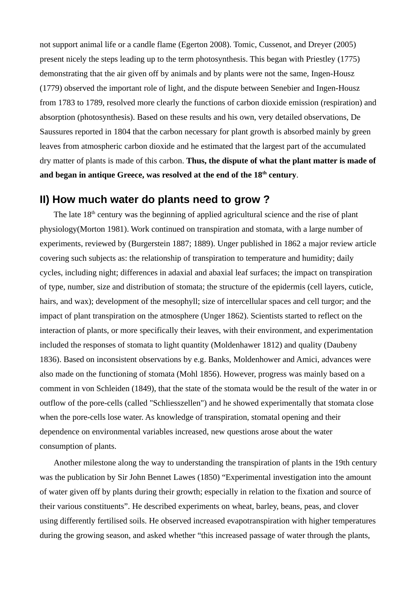not support animal life or a candle flame (Egerton 2008). Tomic, Cussenot, and Dreyer (2005) present nicely the steps leading up to the term photosynthesis. This began with Priestley (1775) demonstrating that the air given off by animals and by plants were not the same, Ingen-Housz (1779) observed the important role of light, and the dispute between Senebier and Ingen-Housz from 1783 to 1789, resolved more clearly the functions of carbon dioxide emission (respiration) and absorption (photosynthesis). Based on these results and his own, very detailed observations, De Saussures reported in 1804 that the carbon necessary for plant growth is absorbed mainly by green leaves from atmospheric carbon dioxide and he estimated that the largest part of the accumulated dry matter of plants is made of this carbon. **Thus, the dispute of what the plant matter is made of and began in antique Greece, was resolved at the end of the 18th century**.

### **II) How much water do plants need to grow ?**

The late  $18<sup>th</sup>$  century was the beginning of applied agricultural science and the rise of plant physiology(Morton 1981). Work continued on transpiration and stomata, with a large number of experiments, reviewed by (Burgerstein 1887; 1889). Unger published in 1862 a major review article covering such subjects as: the relationship of transpiration to temperature and humidity; daily cycles, including night; differences in adaxial and abaxial leaf surfaces; the impact on transpiration of type, number, size and distribution of stomata; the structure of the epidermis (cell layers, cuticle, hairs, and wax); development of the mesophyll; size of intercellular spaces and cell turgor; and the impact of plant transpiration on the atmosphere (Unger 1862). Scientists started to reflect on the interaction of plants, or more specifically their leaves, with their environment, and experimentation included the responses of stomata to light quantity (Moldenhawer 1812) and quality (Daubeny 1836). Based on inconsistent observations by e.g. Banks, Moldenhower and Amici, advances were also made on the functioning of stomata (Mohl 1856). However, progress was mainly based on a comment in von Schleiden (1849), that the state of the stomata would be the result of the water in or outflow of the pore-cells (called "Schliesszellen") and he showed experimentally that stomata close when the pore-cells lose water. As knowledge of transpiration, stomatal opening and their dependence on environmental variables increased, new questions arose about the water consumption of plants.

Another milestone along the way to understanding the transpiration of plants in the 19th century was the publication by Sir John Bennet Lawes (1850) "Experimental investigation into the amount of water given off by plants during their growth; especially in relation to the fixation and source of their various constituents". He described experiments on wheat, barley, beans, peas, and clover using differently fertilised soils. He observed increased evapotranspiration with higher temperatures during the growing season, and asked whether "this increased passage of water through the plants,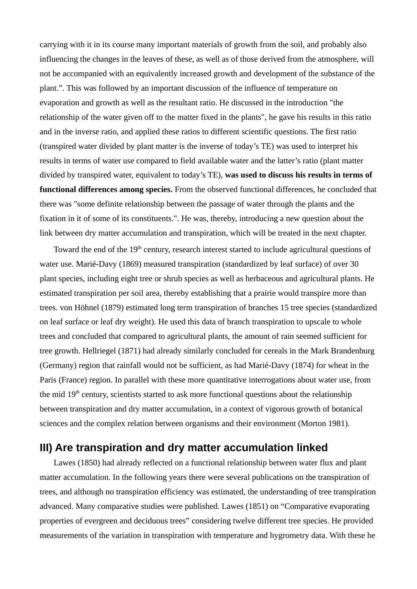carrying with it in its course many important materials of growth from the soil, and probably also influencing the changes in the leaves of these, as well as of those derived from the atmosphere, will not be accompanied with an equivalently increased growth and development of the substance of the plant.". This was followed by an important discussion of the influence of temperature on evaporation and growth as well as the resultant ratio. He discussed in the introduction "the relationship of the water given off to the matter fixed in the plants", he gave his results in this ratio and in the inverse ratio, and applied these ratios to different scientific questions. The first ratio (transpired water divided by plant matter is the inverse of today's TE) was used to interpret his results in terms of water use compared to field available water and the latter's ratio (plant matter divided by transpired water, equivalent to today's TE), **was used to discuss his results in terms of functional differences among species.** From the observed functional differences, he concluded that there was "some definite relationship between the passage of water through the plants and the fixation in it of some of its constituents.". He was, thereby, introducing a new question about the link between dry matter accumulation and transpiration, which will be treated in the next chapter.

Toward the end of the 19<sup>th</sup> century, research interest started to include agricultural questions of water use. Marié-Davy (1869) measured transpiration (standardized by leaf surface) of over 30 plant species, including eight tree or shrub species as well as herbaceous and agricultural plants. He estimated transpiration per soil area, thereby establishing that a prairie would transpire more than trees. von Höhnel (1879) estimated long term transpiration of branches 15 tree species (standardized on leaf surface or leaf dry weight). He used this data of branch transpiration to upscale to whole trees and concluded that compared to agricultural plants, the amount of rain seemed sufficient for tree growth. Hellriegel (1871) had already similarly concluded for cereals in the Mark Brandenburg (Germany) region that rainfall would not be sufficient, as had Marié-Davy (1874) for wheat in the Paris (France) region. In parallel with these more quantitative interrogations about water use, from the mid 19<sup>th</sup> century, scientists started to ask more functional questions about the relationship between transpiration and dry matter accumulation, in a context of vigorous growth of botanical sciences and the complex relation between organisms and their environment (Morton 1981).

### **III) Are transpiration and dry matter accumulation linked**

Lawes (1850) had already reflected on a functional relationship between water flux and plant matter accumulation. In the following years there were several publications on the transpiration of trees, and although no transpiration efficiency was estimated, the understanding of tree transpiration advanced. Many comparative studies were published. Lawes (1851) on "Comparative evaporating properties of evergreen and deciduous trees" considering twelve different tree species. He provided measurements of the variation in transpiration with temperature and hygrometry data. With these he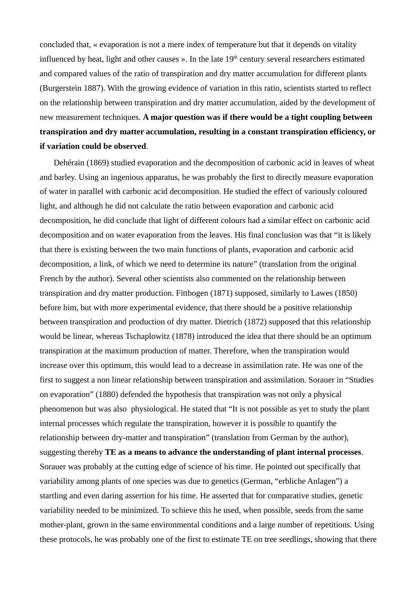concluded that, « evaporation is not a mere index of temperature but that it depends on vitality influenced by heat, light and other causes ». In the late  $19<sup>th</sup>$  century several researchers estimated and compared values of the ratio of transpiration and dry matter accumulation for different plants (Burgerstein 1887). With the growing evidence of variation in this ratio, scientists started to reflect on the relationship between transpiration and dry matter accumulation, aided by the development of new measurement techniques. **A major question was if there would be a tight coupling between transpiration and dry matter accumulation, resulting in a constant transpiration efficiency, or if variation could be observed**.

Dehérain (1869) studied evaporation and the decomposition of carbonic acid in leaves of wheat and barley. Using an ingenious apparatus, he was probably the first to directly measure evaporation of water in parallel with carbonic acid decomposition. He studied the effect of variously coloured light, and although he did not calculate the ratio between evaporation and carbonic acid decomposition, he did conclude that light of different colours had a similar effect on carbonic acid decomposition and on water evaporation from the leaves. His final conclusion was that "it is likely that there is existing between the two main functions of plants, evaporation and carbonic acid decomposition, a link, of which we need to determine its nature" (translation from the original French by the author). Several other scientists also commented on the relationship between transpiration and dry matter production. Fittbogen (1871) supposed, similarly to Lawes (1850) before him, but with more experimental evidence, that there should be a positive relationship between transpiration and production of dry matter. Dietrich (1872) supposed that this relationship would be linear, whereas Tschaplowitz (1878) introduced the idea that there should be an optimum transpiration at the maximum production of matter. Therefore, when the transpiration would increase over this optimum, this would lead to a decrease in assimilation rate. He was one of the first to suggest a non linear relationship between transpiration and assimilation. Sorauer in "Studies on evaporation" (1880) defended the hypothesis that transpiration was not only a physical phenomenon but was also physiological. He stated that "It is not possible as yet to study the plant internal processes which regulate the transpiration, however it is possible to quantify the relationship between dry-matter and transpiration" (translation from German by the author), suggesting thereby **TE as a means to advance the understanding of plant internal processes**. Sorauer was probably at the cutting edge of science of his time. He pointed out specifically that variability among plants of one species was due to genetics (German, "erbliche Anlagen") a startling and even daring assertion for his time. He asserted that for comparative studies, genetic variability needed to be minimized. To schieve this he used, when possible, seeds from the same mother-plant, grown in the same environmental conditions and a large number of repetitions. Using these protocols, he was probably one of the first to estimate TE on tree seedlings, showing that there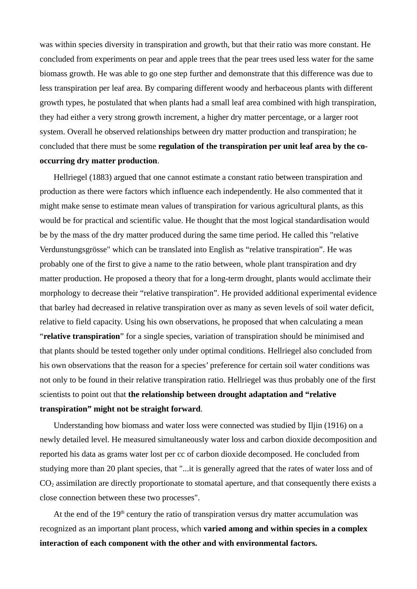was within species diversity in transpiration and growth, but that their ratio was more constant. He concluded from experiments on pear and apple trees that the pear trees used less water for the same biomass growth. He was able to go one step further and demonstrate that this difference was due to less transpiration per leaf area. By comparing different woody and herbaceous plants with different growth types, he postulated that when plants had a small leaf area combined with high transpiration, they had either a very strong growth increment, a higher dry matter percentage, or a larger root system. Overall he observed relationships between dry matter production and transpiration; he concluded that there must be some **regulation of the transpiration per unit leaf area by the cooccurring dry matter production**.

Hellriegel (1883) argued that one cannot estimate a constant ratio between transpiration and production as there were factors which influence each independently. He also commented that it might make sense to estimate mean values of transpiration for various agricultural plants, as this would be for practical and scientific value. He thought that the most logical standardisation would be by the mass of the dry matter produced during the same time period. He called this "relative Verdunstungsgrösse" which can be translated into English as "relative transpiration". He was probably one of the first to give a name to the ratio between, whole plant transpiration and dry matter production. He proposed a theory that for a long-term drought, plants would acclimate their morphology to decrease their "relative transpiration". He provided additional experimental evidence that barley had decreased in relative transpiration over as many as seven levels of soil water deficit, relative to field capacity. Using his own observations, he proposed that when calculating a mean "**relative transpiration**" for a single species, variation of transpiration should be minimised and that plants should be tested together only under optimal conditions. Hellriegel also concluded from his own observations that the reason for a species' preference for certain soil water conditions was not only to be found in their relative transpiration ratio. Hellriegel was thus probably one of the first scientists to point out that **the relationship between drought adaptation and "relative transpiration" might not be straight forward**.

Understanding how biomass and water loss were connected was studied by Iljin (1916) on a newly detailed level. He measured simultaneously water loss and carbon dioxide decomposition and reported his data as grams water lost per cc of carbon dioxide decomposed. He concluded from studying more than 20 plant species, that "...it is generally agreed that the rates of water loss and of CO2 assimilation are directly proportionate to stomatal aperture, and that consequently there exists a close connection between these two processes".

At the end of the  $19<sup>th</sup>$  century the ratio of transpiration versus dry matter accumulation was recognized as an important plant process, which **varied among and within species in a complex interaction of each component with the other and with environmental factors.**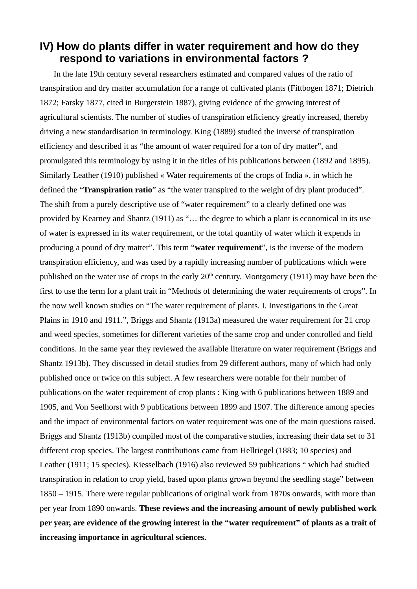## **IV) How do plants differ in water requirement and how do they respond to variations in environmental factors ?**

In the late 19th century several researchers estimated and compared values of the ratio of transpiration and dry matter accumulation for a range of cultivated plants (Fittbogen 1871; Dietrich 1872; Farsky 1877, cited in Burgerstein 1887), giving evidence of the growing interest of agricultural scientists. The number of studies of transpiration efficiency greatly increased, thereby driving a new standardisation in terminology. King (1889) studied the inverse of transpiration efficiency and described it as "the amount of water required for a ton of dry matter", and promulgated this terminology by using it in the titles of his publications between (1892 and 1895). Similarly Leather (1910) published « Water requirements of the crops of India », in which he defined the "**Transpiration ratio**" as "the water transpired to the weight of dry plant produced". The shift from a purely descriptive use of "water requirement" to a clearly defined one was provided by Kearney and Shantz (1911) as "… the degree to which a plant is economical in its use of water is expressed in its water requirement, or the total quantity of water which it expends in producing a pound of dry matter". This term "**water requirement**", is the inverse of the modern transpiration efficiency, and was used by a rapidly increasing number of publications which were published on the water use of crops in the early  $20<sup>th</sup>$  century. Montgomery (1911) may have been the first to use the term for a plant trait in "Methods of determining the water requirements of crops". In the now well known studies on "The water requirement of plants. I. Investigations in the Great Plains in 1910 and 1911.", Briggs and Shantz (1913a) measured the water requirement for 21 crop and weed species, sometimes for different varieties of the same crop and under controlled and field conditions. In the same year they reviewed the available literature on water requirement (Briggs and Shantz 1913b). They discussed in detail studies from 29 different authors, many of which had only published once or twice on this subject. A few researchers were notable for their number of publications on the water requirement of crop plants : King with 6 publications between 1889 and 1905, and Von Seelhorst with 9 publications between 1899 and 1907. The difference among species and the impact of environmental factors on water requirement was one of the main questions raised. Briggs and Shantz (1913b) compiled most of the comparative studies, increasing their data set to 31 different crop species. The largest contributions came from Hellriegel (1883; 10 species) and Leather (1911; 15 species). Kiesselbach (1916) also reviewed 59 publications " which had studied transpiration in relation to crop yield, based upon plants grown beyond the seedling stage" between 1850 – 1915. There were regular publications of original work from 1870s onwards, with more than per year from 1890 onwards. **These reviews and the increasing amount of newly published work per year, are evidence of the growing interest in the "water requirement" of plants as a trait of increasing importance in agricultural sciences.**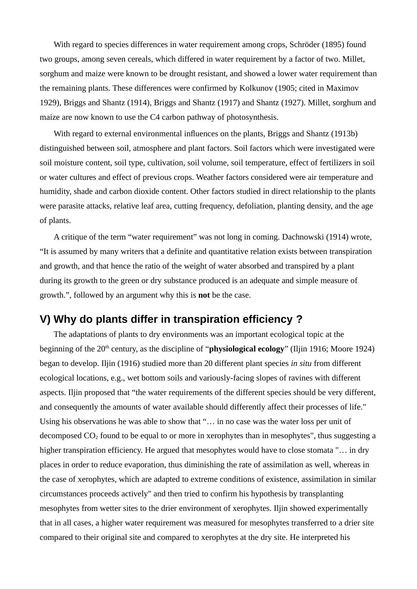With regard to species differences in water requirement among crops, Schröder (1895) found two groups, among seven cereals, which differed in water requirement by a factor of two. Millet, sorghum and maize were known to be drought resistant, and showed a lower water requirement than the remaining plants. These differences were confirmed by Kolkunov (1905; cited in Maximov 1929), Briggs and Shantz (1914), Briggs and Shantz (1917) and Shantz (1927). Millet, sorghum and maize are now known to use the C4 carbon pathway of photosynthesis.

With regard to external environmental influences on the plants, Briggs and Shantz (1913b) distinguished between soil, atmosphere and plant factors. Soil factors which were investigated were soil moisture content, soil type, cultivation, soil volume, soil temperature, effect of fertilizers in soil or water cultures and effect of previous crops. Weather factors considered were air temperature and humidity, shade and carbon dioxide content. Other factors studied in direct relationship to the plants were parasite attacks, relative leaf area, cutting frequency, defoliation, planting density, and the age of plants.

A critique of the term "water requirement" was not long in coming. Dachnowski (1914) wrote, "It is assumed by many writers that a definite and quantitative relation exists between transpiration and growth, and that hence the ratio of the weight of water absorbed and transpired by a plant during its growth to the green or dry substance produced is an adequate and simple measure of growth.", followed by an argument why this is **not** be the case.

#### **V) Why do plants differ in transpiration efficiency ?**

The adaptations of plants to dry environments was an important ecological topic at the beginning of the 20<sup>th</sup> century, as the discipline of "**physiological ecology**" (Iljin 1916; Moore 1924) began to develop. Iljin (1916) studied more than 20 different plant species *in situ* from different ecological locations, e.g., wet bottom soils and variously-facing slopes of ravines with different aspects. Iljin proposed that "the water requirements of the different species should be very different, and consequently the amounts of water available should differently affect their processes of life." Using his observations he was able to show that "… in no case was the water loss per unit of decomposed  $CO<sub>2</sub>$  found to be equal to or more in xerophytes than in mesophytes", thus suggesting a higher transpiration efficiency. He argued that mesophytes would have to close stomata "... in dry places in order to reduce evaporation, thus diminishing the rate of assimilation as well, whereas in the case of xerophytes, which are adapted to extreme conditions of existence, assimilation in similar circumstances proceeds actively" and then tried to confirm his hypothesis by transplanting mesophytes from wetter sites to the drier environment of xerophytes. Iljin showed experimentally that in all cases, a higher water requirement was measured for mesophytes transferred to a drier site compared to their original site and compared to xerophytes at the dry site. He interpreted his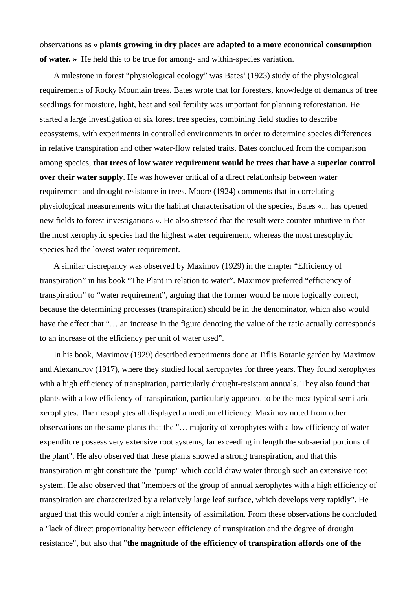observations as **« plants growing in dry places are adapted to a more economical consumption of water. »** He held this to be true for among- and within-species variation.

A milestone in forest "physiological ecology" was Bates' (1923) study of the physiological requirements of Rocky Mountain trees. Bates wrote that for foresters, knowledge of demands of tree seedlings for moisture, light, heat and soil fertility was important for planning reforestation. He started a large investigation of six forest tree species, combining field studies to describe ecosystems, with experiments in controlled environments in order to determine species differences in relative transpiration and other water-flow related traits. Bates concluded from the comparison among species, **that trees of low water requirement would be trees that have a superior control over their water supply**. He was however critical of a direct relationhsip between water requirement and drought resistance in trees. Moore (1924) comments that in correlating physiological measurements with the habitat characterisation of the species, Bates «... has opened new fields to forest investigations ». He also stressed that the result were counter-intuitive in that the most xerophytic species had the highest water requirement, whereas the most mesophytic species had the lowest water requirement.

A similar discrepancy was observed by Maximov (1929) in the chapter "Efficiency of transpiration" in his book "The Plant in relation to water". Maximov preferred "efficiency of transpiration" to "water requirement", arguing that the former would be more logically correct, because the determining processes (transpiration) should be in the denominator, which also would have the effect that "... an increase in the figure denoting the value of the ratio actually corresponds to an increase of the efficiency per unit of water used".

In his book, Maximov (1929) described experiments done at Tiflis Botanic garden by Maximov and Alexandrov (1917), where they studied local xerophytes for three years. They found xerophytes with a high efficiency of transpiration, particularly drought-resistant annuals. They also found that plants with a low efficiency of transpiration, particularly appeared to be the most typical semi-arid xerophytes. The mesophytes all displayed a medium efficiency. Maximov noted from other observations on the same plants that the "… majority of xerophytes with a low efficiency of water expenditure possess very extensive root systems, far exceeding in length the sub-aerial portions of the plant". He also observed that these plants showed a strong transpiration, and that this transpiration might constitute the "pump" which could draw water through such an extensive root system. He also observed that "members of the group of annual xerophytes with a high efficiency of transpiration are characterized by a relatively large leaf surface, which develops very rapidly". He argued that this would confer a high intensity of assimilation. From these observations he concluded a "lack of direct proportionality between efficiency of transpiration and the degree of drought resistance", but also that "**the magnitude of the efficiency of transpiration affords one of the**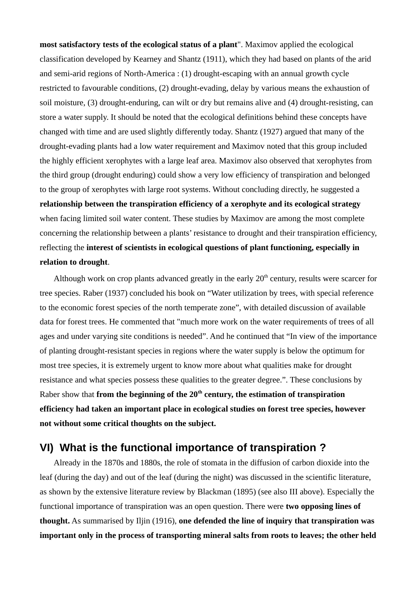**most satisfactory tests of the ecological status of a plant**". Maximov applied the ecological classification developed by Kearney and Shantz (1911), which they had based on plants of the arid and semi-arid regions of North-America : (1) drought-escaping with an annual growth cycle restricted to favourable conditions, (2) drought-evading, delay by various means the exhaustion of soil moisture, (3) drought-enduring, can wilt or dry but remains alive and (4) drought-resisting, can store a water supply. It should be noted that the ecological definitions behind these concepts have changed with time and are used slightly differently today. Shantz (1927) argued that many of the drought-evading plants had a low water requirement and Maximov noted that this group included the highly efficient xerophytes with a large leaf area. Maximov also observed that xerophytes from the third group (drought enduring) could show a very low efficiency of transpiration and belonged to the group of xerophytes with large root systems. Without concluding directly, he suggested a **relationship between the transpiration efficiency of a xerophyte and its ecological strategy** when facing limited soil water content. These studies by Maximov are among the most complete concerning the relationship between a plants' resistance to drought and their transpiration efficiency, reflecting the **interest of scientists in ecological questions of plant functioning, especially in relation to drought**.

Although work on crop plants advanced greatly in the early  $20<sup>th</sup>$  century, results were scarcer for tree species. Raber (1937) concluded his book on "Water utilization by trees, with special reference to the economic forest species of the north temperate zone", with detailed discussion of available data for forest trees. He commented that "much more work on the water requirements of trees of all ages and under varying site conditions is needed". And he continued that "In view of the importance of planting drought-resistant species in regions where the water supply is below the optimum for most tree species, it is extremely urgent to know more about what qualities make for drought resistance and what species possess these qualities to the greater degree.". These conclusions by Raber show that **from the beginning of the 20th century, the estimation of transpiration efficiency had taken an important place in ecological studies on forest tree species, however not without some critical thoughts on the subject.**

#### **VI) What is the functional importance of transpiration ?**

Already in the 1870s and 1880s, the role of stomata in the diffusion of carbon dioxide into the leaf (during the day) and out of the leaf (during the night) was discussed in the scientific literature, as shown by the extensive literature review by Blackman (1895) (see also III above). Especially the functional importance of transpiration was an open question. There were **two opposing lines of thought.** As summarised by Iljin (1916), **one defended the line of inquiry that transpiration was important only in the process of transporting mineral salts from roots to leaves; the other held**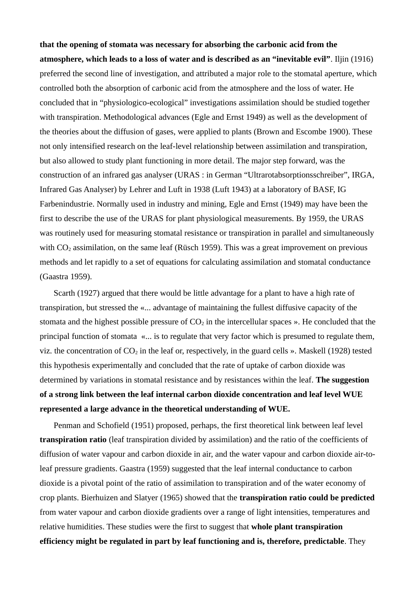**that the opening of stomata was necessary for absorbing the carbonic acid from the atmosphere, which leads to a loss of water and is described as an "inevitable evil"**. Iljin (1916) preferred the second line of investigation, and attributed a major role to the stomatal aperture, which controlled both the absorption of carbonic acid from the atmosphere and the loss of water. He concluded that in "physiologico-ecological" investigations assimilation should be studied together with transpiration. Methodological advances (Egle and Ernst 1949) as well as the development of the theories about the diffusion of gases, were applied to plants (Brown and Escombe 1900). These not only intensified research on the leaf-level relationship between assimilation and transpiration, but also allowed to study plant functioning in more detail. The major step forward, was the construction of an infrared gas analyser (URAS : in German "Ultrarotabsorptionsschreiber", IRGA, Infrared Gas Analyser) by Lehrer and Luft in 1938 (Luft 1943) at a laboratory of BASF, IG Farbenindustrie. Normally used in industry and mining, Egle and Ernst (1949) may have been the first to describe the use of the URAS for plant physiological measurements. By 1959, the URAS was routinely used for measuring stomatal resistance or transpiration in parallel and simultaneously with  $CO<sub>2</sub>$  assimilation, on the same leaf (Rüsch 1959). This was a great improvement on previous methods and let rapidly to a set of equations for calculating assimilation and stomatal conductance (Gaastra 1959).

Scarth (1927) argued that there would be little advantage for a plant to have a high rate of transpiration, but stressed the «... advantage of maintaining the fullest diffusive capacity of the stomata and the highest possible pressure of  $CO<sub>2</sub>$  in the intercellular spaces ». He concluded that the principal function of stomata «... is to regulate that very factor which is presumed to regulate them, viz. the concentration of  $CO<sub>2</sub>$  in the leaf or, respectively, in the guard cells ». Maskell (1928) tested this hypothesis experimentally and concluded that the rate of uptake of carbon dioxide was determined by variations in stomatal resistance and by resistances within the leaf. **The suggestion of a strong link between the leaf internal carbon dioxide concentration and leaf level WUE represented a large advance in the theoretical understanding of WUE.**

Penman and Schofield (1951) proposed, perhaps, the first theoretical link between leaf level **transpiration ratio** (leaf transpiration divided by assimilation) and the ratio of the coefficients of diffusion of water vapour and carbon dioxide in air, and the water vapour and carbon dioxide air-toleaf pressure gradients. Gaastra (1959) suggested that the leaf internal conductance to carbon dioxide is a pivotal point of the ratio of assimilation to transpiration and of the water economy of crop plants. Bierhuizen and Slatyer (1965) showed that the **transpiration ratio could be predicted** from water vapour and carbon dioxide gradients over a range of light intensities, temperatures and relative humidities. These studies were the first to suggest that **whole plant transpiration efficiency might be regulated in part by leaf functioning and is, therefore, predictable**. They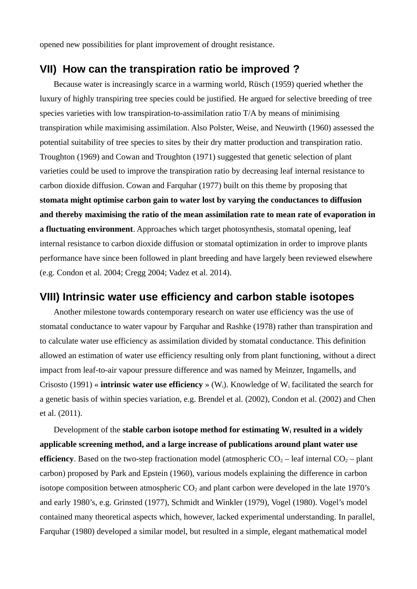opened new possibilities for plant improvement of drought resistance.

### **VII) How can the transpiration ratio be improved ?**

Because water is increasingly scarce in a warming world, Rüsch (1959) queried whether the luxury of highly transpiring tree species could be justified. He argued for selective breeding of tree species varieties with low transpiration-to-assimilation ratio T/A by means of minimising transpiration while maximising assimilation. Also Polster, Weise, and Neuwirth (1960) assessed the potential suitability of tree species to sites by their dry matter production and transpiration ratio. Troughton (1969) and Cowan and Troughton (1971) suggested that genetic selection of plant varieties could be used to improve the transpiration ratio by decreasing leaf internal resistance to carbon dioxide diffusion. Cowan and Farquhar (1977) built on this theme by proposing that **stomata might optimise carbon gain to water lost by varying the conductances to diffusion and thereby maximising the ratio of the mean assimilation rate to mean rate of evaporation in a fluctuating environment**. Approaches which target photosynthesis, stomatal opening, leaf internal resistance to carbon dioxide diffusion or stomatal optimization in order to improve plants performance have since been followed in plant breeding and have largely been reviewed elsewhere (e.g. Condon et al. 2004; Cregg 2004; Vadez et al. 2014).

#### **VIII) Intrinsic water use efficiency and carbon stable isotopes**

Another milestone towards contemporary research on water use efficiency was the use of stomatal conductance to water vapour by Farquhar and Rashke (1978) rather than transpiration and to calculate water use efficiency as assimilation divided by stomatal conductance. This definition allowed an estimation of water use efficiency resulting only from plant functioning, without a direct impact from leaf-to-air vapour pressure difference and was named by Meinzer, Ingamells, and Crisosto (1991) « **intrinsic water use efficiency** » (Wi). Knowledge of Wi facilitated the search for a genetic basis of within species variation, e.g. Brendel et al. (2002), Condon et al. (2002) and Chen et al. (2011).

Development of the **stable carbon isotope method for estimating Wi resulted in a widely applicable screening method, and a large increase of publications around plant water use efficiency**. Based on the two-step fractionation model (atmospheric  $CO<sub>2</sub>$  – leaf internal  $CO<sub>2</sub>$  – plant carbon) proposed by Park and Epstein (1960), various models explaining the difference in carbon isotope composition between atmospheric  $CO<sub>2</sub>$  and plant carbon were developed in the late 1970's and early 1980's, e.g. Grinsted (1977), Schmidt and Winkler (1979), Vogel (1980). Vogel's model contained many theoretical aspects which, however, lacked experimental understanding. In parallel, Farquhar (1980) developed a similar model, but resulted in a simple, elegant mathematical model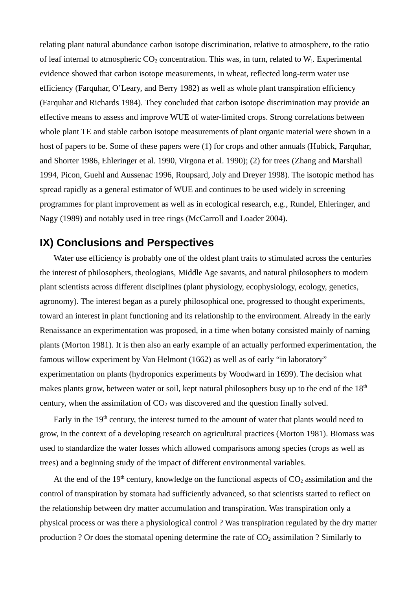relating plant natural abundance carbon isotope discrimination, relative to atmosphere, to the ratio of leaf internal to atmospheric  $CO_2$  concentration. This was, in turn, related to  $W_i$ . Experimental evidence showed that carbon isotope measurements, in wheat, reflected long-term water use efficiency (Farquhar, O'Leary, and Berry 1982) as well as whole plant transpiration efficiency (Farquhar and Richards 1984). They concluded that carbon isotope discrimination may provide an effective means to assess and improve WUE of water-limited crops. Strong correlations between whole plant TE and stable carbon isotope measurements of plant organic material were shown in a host of papers to be. Some of these papers were (1) for crops and other annuals (Hubick, Farquhar, and Shorter 1986, Ehleringer et al. 1990, Virgona et al. 1990); (2) for trees (Zhang and Marshall 1994, Picon, Guehl and Aussenac 1996, Roupsard, Joly and Dreyer 1998). The isotopic method has spread rapidly as a general estimator of WUE and continues to be used widely in screening programmes for plant improvement as well as in ecological research, e.g., Rundel, Ehleringer, and Nagy (1989) and notably used in tree rings (McCarroll and Loader 2004).

### **IX) Conclusions and Perspectives**

Water use efficiency is probably one of the oldest plant traits to stimulated across the centuries the interest of philosophers, theologians, Middle Age savants, and natural philosophers to modern plant scientists across different disciplines (plant physiology, ecophysiology, ecology, genetics, agronomy). The interest began as a purely philosophical one, progressed to thought experiments, toward an interest in plant functioning and its relationship to the environment. Already in the early Renaissance an experimentation was proposed, in a time when botany consisted mainly of naming plants (Morton 1981). It is then also an early example of an actually performed experimentation, the famous willow experiment by Van Helmont (1662) as well as of early "in laboratory" experimentation on plants (hydroponics experiments by Woodward in 1699). The decision what makes plants grow, between water or soil, kept natural philosophers busy up to the end of the  $18<sup>th</sup>$ century, when the assimilation of  $CO<sub>2</sub>$  was discovered and the question finally solved.

Early in the  $19<sup>th</sup>$  century, the interest turned to the amount of water that plants would need to grow, in the context of a developing research on agricultural practices (Morton 1981). Biomass was used to standardize the water losses which allowed comparisons among species (crops as well as trees) and a beginning study of the impact of different environmental variables.

At the end of the 19<sup>th</sup> century, knowledge on the functional aspects of  $CO<sub>2</sub>$  assimilation and the control of transpiration by stomata had sufficiently advanced, so that scientists started to reflect on the relationship between dry matter accumulation and transpiration. Was transpiration only a physical process or was there a physiological control ? Was transpiration regulated by the dry matter production ? Or does the stomatal opening determine the rate of  $CO<sub>2</sub>$  assimilation ? Similarly to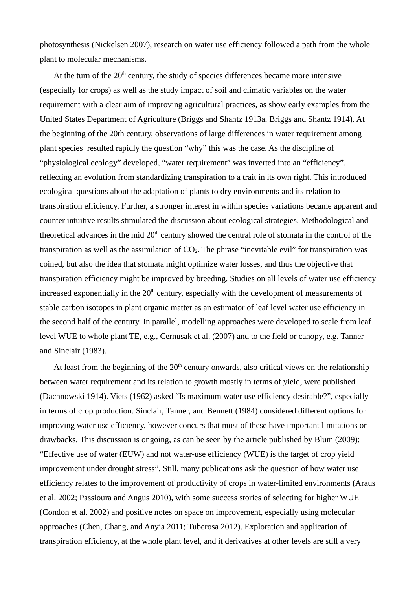photosynthesis (Nickelsen 2007), research on water use efficiency followed a path from the whole plant to molecular mechanisms.

At the turn of the  $20<sup>th</sup>$  century, the study of species differences became more intensive (especially for crops) as well as the study impact of soil and climatic variables on the water requirement with a clear aim of improving agricultural practices, as show early examples from the United States Department of Agriculture (Briggs and Shantz 1913a, Briggs and Shantz 1914). At the beginning of the 20th century, observations of large differences in water requirement among plant species resulted rapidly the question "why" this was the case. As the discipline of "physiological ecology" developed, "water requirement" was inverted into an "efficiency", reflecting an evolution from standardizing transpiration to a trait in its own right. This introduced ecological questions about the adaptation of plants to dry environments and its relation to transpiration efficiency. Further, a stronger interest in within species variations became apparent and counter intuitive results stimulated the discussion about ecological strategies. Methodological and theoretical advances in the mid  $20<sup>th</sup>$  century showed the central role of stomata in the control of the transpiration as well as the assimilation of  $CO<sub>2</sub>$ . The phrase "inevitable evil" for transpiration was coined, but also the idea that stomata might optimize water losses, and thus the objective that transpiration efficiency might be improved by breeding. Studies on all levels of water use efficiency increased exponentially in the  $20<sup>th</sup>$  century, especially with the development of measurements of stable carbon isotopes in plant organic matter as an estimator of leaf level water use efficiency in the second half of the century. In parallel, modelling approaches were developed to scale from leaf level WUE to whole plant TE, e.g., Cernusak et al. (2007) and to the field or canopy, e.g. Tanner and Sinclair (1983).

At least from the beginning of the  $20<sup>th</sup>$  century onwards, also critical views on the relationship between water requirement and its relation to growth mostly in terms of yield, were published (Dachnowski 1914). Viets (1962) asked "Is maximum water use efficiency desirable?", especially in terms of crop production. Sinclair, Tanner, and Bennett (1984) considered different options for improving water use efficiency, however concurs that most of these have important limitations or drawbacks. This discussion is ongoing, as can be seen by the article published by Blum (2009): "Effective use of water (EUW) and not water-use efficiency (WUE) is the target of crop yield improvement under drought stress". Still, many publications ask the question of how water use efficiency relates to the improvement of productivity of crops in water-limited environments (Araus et al. 2002; Passioura and Angus 2010), with some success stories of selecting for higher WUE (Condon et al. 2002) and positive notes on space on improvement, especially using molecular approaches (Chen, Chang, and Anyia 2011; Tuberosa 2012). Exploration and application of transpiration efficiency, at the whole plant level, and it derivatives at other levels are still a very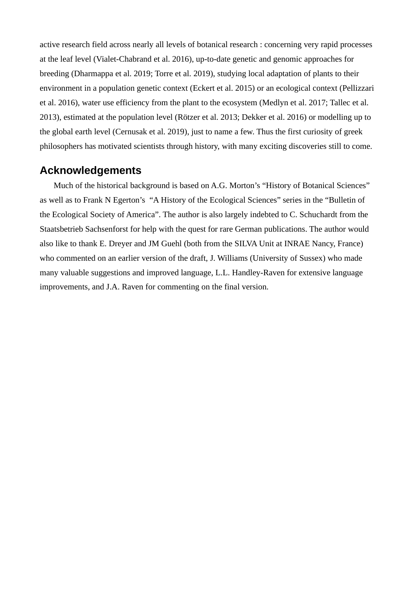active research field across nearly all levels of botanical research : concerning very rapid processes at the leaf level (Vialet-Chabrand et al. 2016), up-to-date genetic and genomic approaches for breeding (Dharmappa et al. 2019; Torre et al. 2019), studying local adaptation of plants to their environment in a population genetic context (Eckert et al. 2015) or an ecological context (Pellizzari et al. 2016), water use efficiency from the plant to the ecosystem (Medlyn et al. 2017; Tallec et al. 2013), estimated at the population level (Rötzer et al. 2013; Dekker et al. 2016) or modelling up to the global earth level (Cernusak et al. 2019), just to name a few. Thus the first curiosity of greek philosophers has motivated scientists through history, with many exciting discoveries still to come.

### **Acknowledgements**

Much of the historical background is based on A.G. Morton's "History of Botanical Sciences" as well as to Frank N Egerton's "A History of the Ecological Sciences" series in the "Bulletin of the Ecological Society of America". The author is also largely indebted to C. Schuchardt from the Staatsbetrieb Sachsenforst for help with the quest for rare German publications. The author would also like to thank E. Dreyer and JM Guehl (both from the SILVA Unit at INRAE Nancy, France) who commented on an earlier version of the draft, J. Williams (University of Sussex) who made many valuable suggestions and improved language, L.L. Handley-Raven for extensive language improvements, and J.A. Raven for commenting on the final version.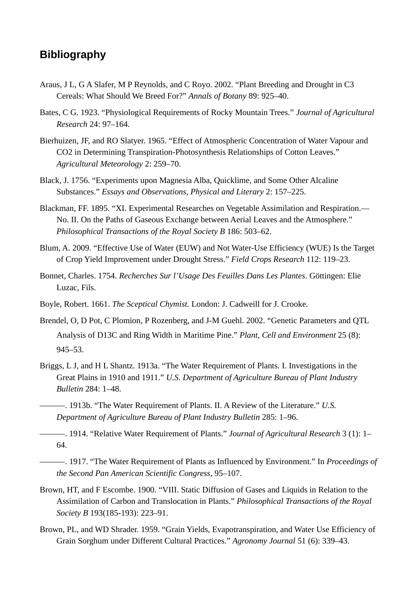# **Bibliography**

- Araus, J L, G A Slafer, M P Reynolds, and C Royo. 2002. "Plant Breeding and Drought in C3 Cereals: What Should We Breed For?" *Annals of Botany* 89: 925–40.
- Bates, C G. 1923. "Physiological Requirements of Rocky Mountain Trees." *Journal of Agricultural Research* 24: 97–164.
- Bierhuizen, JF, and RO Slatyer. 1965. "Effect of Atmospheric Concentration of Water Vapour and CO2 in Determining Transpiration-Photosynthesis Relationships of Cotton Leaves." *Agricultural Meteorology* 2: 259–70.
- Black, J. 1756. "Experiments upon Magnesia Alba, Quicklime, and Some Other Alcaline Substances." *Essays and Observations, Physical and Literary* 2: 157–225.
- Blackman, FF. 1895. "XI. Experimental Researches on Vegetable Assimilation and Respiration.— No. II. On the Paths of Gaseous Exchange between Aerial Leaves and the Atmosphere." *Philosophical Transactions of the Royal Society B* 186: 503–62.
- Blum, A. 2009. "Effective Use of Water (EUW) and Not Water-Use Efficiency (WUE) Is the Target of Crop Yield Improvement under Drought Stress." *Field Crops Research* 112: 119–23.
- Bonnet, Charles. 1754. *Recherches Sur l'Usage Des Feuilles Dans Les Plantes*. Göttingen: Elie Luzac, Fils.
- Boyle, Robert. 1661. *The Sceptical Chymist*. London: J. Cadweill for J. Crooke.
- Brendel, O, D Pot, C Plomion, P Rozenberg, and J-M Guehl. 2002. "Genetic Parameters and QTL Analysis of D13C and Ring Width in Maritime Pine." *Plant, Cell and Environment* 25 (8): 945–53.
- Briggs, L J, and H L Shantz. 1913a. "The Water Requirement of Plants. I. Investigations in the Great Plains in 1910 and 1911." *U.S. Department of Agriculture Bureau of Plant Industry Bulletin* 284: 1–48.
- ———. 1913b. "The Water Requirement of Plants. II. A Review of the Literature." *U.S. Department of Agriculture Bureau of Plant Industry Bulletin* 285: 1–96.
- ———. 1914. "Relative Water Requirement of Plants." *Journal of Agricultural Research* 3 (1): 1– 64.
	- ———. 1917. "The Water Requirement of Plants as Influenced by Environment." In *Proceedings of the Second Pan American Scientific Congress*, 95–107.
- Brown, HT, and F Escombe. 1900. "VIII. Static Diffusion of Gases and Liquids in Relation to the Assimilation of Carbon and Translocation in Plants." *Philosophical Transactions of the Royal Society B* 193(185-193): 223–91.
- Brown, PL, and WD Shrader. 1959. "Grain Yields, Evapotranspiration, and Water Use Efficiency of Grain Sorghum under Different Cultural Practices." *Agronomy Journal* 51 (6): 339–43.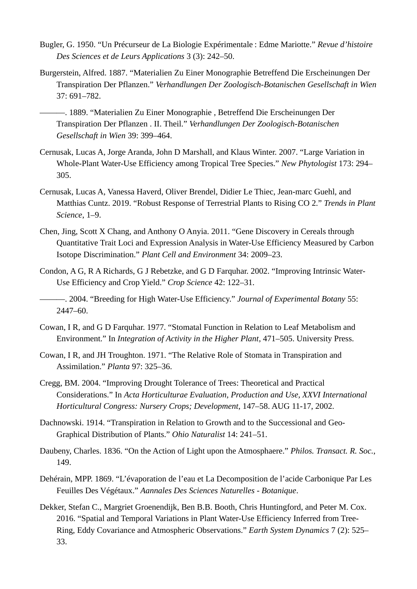- Bugler, G. 1950. "Un Précurseur de La Biologie Expérimentale : Edme Mariotte." *Revue d'histoire Des Sciences et de Leurs Applications* 3 (3): 242–50.
- Burgerstein, Alfred. 1887. "Materialien Zu Einer Monographie Betreffend Die Erscheinungen Der Transpiration Der Pflanzen." *Verhandlungen Der Zoologisch-Botanischen Gesellschaft in Wien* 37: 691–782.

———. 1889. "Materialien Zu Einer Monographie , Betreffend Die Erscheinungen Der Transpiration Der Pflanzen . II. Theil." *Verhandlungen Der Zoologisch-Botanischen Gesellschaft in Wien* 39: 399–464.

- Cernusak, Lucas A, Jorge Aranda, John D Marshall, and Klaus Winter. 2007. "Large Variation in Whole-Plant Water-Use Efficiency among Tropical Tree Species." *New Phytologist* 173: 294– 305.
- Cernusak, Lucas A, Vanessa Haverd, Oliver Brendel, Didier Le Thiec, Jean-marc Guehl, and Matthias Cuntz. 2019. "Robust Response of Terrestrial Plants to Rising CO 2." *Trends in Plant Science*, 1–9.
- Chen, Jing, Scott X Chang, and Anthony O Anyia. 2011. "Gene Discovery in Cereals through Quantitative Trait Loci and Expression Analysis in Water-Use Efficiency Measured by Carbon Isotope Discrimination." *Plant Cell and Environment* 34: 2009–23.
- Condon, A G, R A Richards, G J Rebetzke, and G D Farquhar. 2002. "Improving Intrinsic Water-Use Efficiency and Crop Yield." *Crop Science* 42: 122–31.

———. 2004. "Breeding for High Water-Use Efficiency." *Journal of Experimental Botany* 55: 2447–60.

- Cowan, I R, and G D Farquhar. 1977. "Stomatal Function in Relation to Leaf Metabolism and Environment." In *Integration of Activity in the Higher Plant*, 471–505. University Press.
- Cowan, I R, and JH Troughton. 1971. "The Relative Role of Stomata in Transpiration and Assimilation." *Planta* 97: 325–36.
- Cregg, BM. 2004. "Improving Drought Tolerance of Trees: Theoretical and Practical Considerations." In *Acta Horticulturae Evaluation, Production and Use, XXVI International Horticultural Congress: Nursery Crops; Development*, 147–58. AUG 11-17, 2002.
- Dachnowski. 1914. "Transpiration in Relation to Growth and to the Successional and Geo-Graphical Distribution of Plants." *Ohio Naturalist* 14: 241–51.
- Daubeny, Charles. 1836. "On the Action of Light upon the Atmosphaere." *Philos. Transact. R. Soc.*, 149.
- Dehérain, MPP. 1869. "L'évaporation de l'eau et La Decomposition de l'acide Carbonique Par Les Feuilles Des Végétaux." *Aannales Des Sciences Naturelles - Botanique*.
- Dekker, Stefan C., Margriet Groenendijk, Ben B.B. Booth, Chris Huntingford, and Peter M. Cox. 2016. "Spatial and Temporal Variations in Plant Water-Use Efficiency Inferred from Tree-Ring, Eddy Covariance and Atmospheric Observations." *Earth System Dynamics* 7 (2): 525– 33.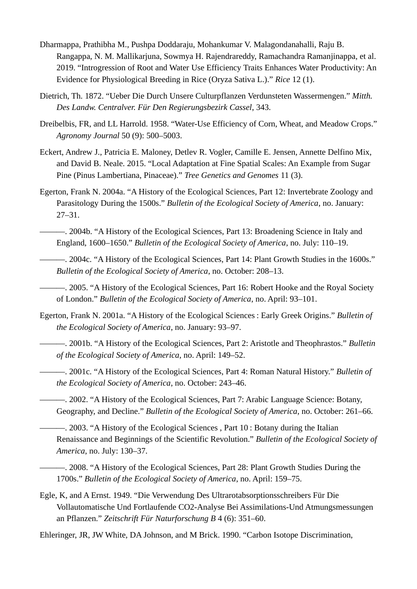- Dharmappa, Prathibha M., Pushpa Doddaraju, Mohankumar V. Malagondanahalli, Raju B. Rangappa, N. M. Mallikarjuna, Sowmya H. Rajendrareddy, Ramachandra Ramanjinappa, et al. 2019. "Introgression of Root and Water Use Efficiency Traits Enhances Water Productivity: An Evidence for Physiological Breeding in Rice (Oryza Sativa L.)." *Rice* 12 (1).
- Dietrich, Th. 1872. "Ueber Die Durch Unsere Culturpflanzen Verdunsteten Wassermengen." *Mitth. Des Landw. Centralver. Für Den Regierungsbezirk Cassel*, 343.
- Dreibelbis, FR, and LL Harrold. 1958. "Water-Use Efficiency of Corn, Wheat, and Meadow Crops." *Agronomy Journal* 50 (9): 500–5003.
- Eckert, Andrew J., Patricia E. Maloney, Detlev R. Vogler, Camille E. Jensen, Annette Delfino Mix, and David B. Neale. 2015. "Local Adaptation at Fine Spatial Scales: An Example from Sugar Pine (Pinus Lambertiana, Pinaceae)." *Tree Genetics and Genomes* 11 (3).
- Egerton, Frank N. 2004a. "A History of the Ecological Sciences, Part 12: Invertebrate Zoology and Parasitology During the 1500s." *Bulletin of the Ecological Society of America*, no. January: 27–31.
	- ———. 2004b. "A History of the Ecological Sciences, Part 13: Broadening Science in Italy and England, 1600–1650." *Bulletin of the Ecological Society of America*, no. July: 110–19.
- ———. 2004c. "A History of the Ecological Sciences, Part 14: Plant Growth Studies in the 1600s." *Bulletin of the Ecological Society of America*, no. October: 208–13.

———. 2005. "A History of the Ecological Sciences, Part 16: Robert Hooke and the Royal Society of London." *Bulletin of the Ecological Society of America*, no. April: 93–101.

- Egerton, Frank N. 2001a. "A History of the Ecological Sciences : Early Greek Origins." *Bulletin of the Ecological Society of America*, no. January: 93–97.
- ———. 2001b. "A History of the Ecological Sciences, Part 2: Aristotle and Theophrastos." *Bulletin of the Ecological Society of America*, no. April: 149–52.
	- ———. 2001c. "A History of the Ecological Sciences, Part 4: Roman Natural History." *Bulletin of the Ecological Society of America*, no. October: 243–46.
	- ———. 2002. "A History of the Ecological Sciences, Part 7: Arabic Language Science: Botany, Geography, and Decline." *Bulletin of the Ecological Society of America*, no. October: 261–66.

———. 2003. "A History of the Ecological Sciences , Part 10 : Botany during the Italian Renaissance and Beginnings of the Scientific Revolution." *Bulletin of the Ecological Society of America*, no. July: 130–37.

- ———. 2008. "A History of the Ecological Sciences, Part 28: Plant Growth Studies During the 1700s." *Bulletin of the Ecological Society of America*, no. April: 159–75.
- Egle, K, and A Ernst. 1949. "Die Verwendung Des Ultrarotabsorptionsschreibers Für Die Vollautomatische Und Fortlaufende CO2-Analyse Bei Assimilations-Und Atmungsmessungen an Pflanzen." *Zeitschrift Für Naturforschung B* 4 (6): 351–60.

Ehleringer, JR, JW White, DA Johnson, and M Brick. 1990. "Carbon Isotope Discrimination,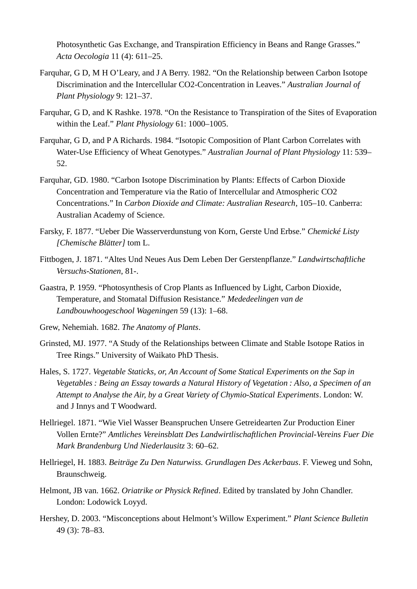Photosynthetic Gas Exchange, and Transpiration Efficiency in Beans and Range Grasses." *Acta Oecologia* 11 (4): 611–25.

- Farquhar, G D, M H O'Leary, and J A Berry. 1982. "On the Relationship between Carbon Isotope Discrimination and the Intercellular CO2-Concentration in Leaves." *Australian Journal of Plant Physiology* 9: 121–37.
- Farquhar, G D, and K Rashke. 1978. "On the Resistance to Transpiration of the Sites of Evaporation within the Leaf." *Plant Physiology* 61: 1000–1005.
- Farquhar, G D, and P A Richards. 1984. "Isotopic Composition of Plant Carbon Correlates with Water-Use Efficiency of Wheat Genotypes." *Australian Journal of Plant Physiology* 11: 539– 52.
- Farquhar, GD. 1980. "Carbon Isotope Discrimination by Plants: Effects of Carbon Dioxide Concentration and Temperature via the Ratio of Intercellular and Atmospheric CO2 Concentrations." In *Carbon Dioxide and Climate: Australian Research*, 105–10. Canberra: Australian Academy of Science.
- Farsky, F. 1877. "Ueber Die Wasserverdunstung von Korn, Gerste Und Erbse." *Chemické Listy [Chemische Blätter]* tom L.
- Fittbogen, J. 1871. "Altes Und Neues Aus Dem Leben Der Gerstenpflanze." *Landwirtschaftliche Versuchs-Stationen*, 81-.
- Gaastra, P. 1959. "Photosynthesis of Crop Plants as Influenced by Light, Carbon Dioxide, Temperature, and Stomatal Diffusion Resistance." *Mededeelingen van de Landbouwhoogeschool Wageningen* 59 (13): 1–68.
- Grew, Nehemiah. 1682. *The Anatomy of Plants*.
- Grinsted, MJ. 1977. "A Study of the Relationships between Climate and Stable Isotope Ratios in Tree Rings." University of Waikato PhD Thesis.
- Hales, S. 1727. *Vegetable Staticks, or, An Account of Some Statical Experiments on the Sap in Vegetables : Being an Essay towards a Natural History of Vegetation : Also, a Specimen of an Attempt to Analyse the Air, by a Great Variety of Chymio-Statical Experiments*. London: W. and J Innys and T Woodward.
- Hellriegel. 1871. "Wie Viel Wasser Beanspruchen Unsere Getreidearten Zur Production Einer Vollen Ernte?" *Amtliches Vereinsblatt Des Landwirtlischaftlichen Provincial-Vereins Fuer Die Mark Brandenburg Und Niederlausitz* 3: 60–62.
- Hellriegel, H. 1883. *Beiträge Zu Den Naturwiss. Grundlagen Des Ackerbaus*. F. Vieweg und Sohn, Braunschweig.
- Helmont, JB van. 1662. *Oriatrike or Physick Refined*. Edited by translated by John Chandler. London: Lodowick Loyyd.
- Hershey, D. 2003. "Misconceptions about Helmont's Willow Experiment." *Plant Science Bulletin* 49 (3): 78–83.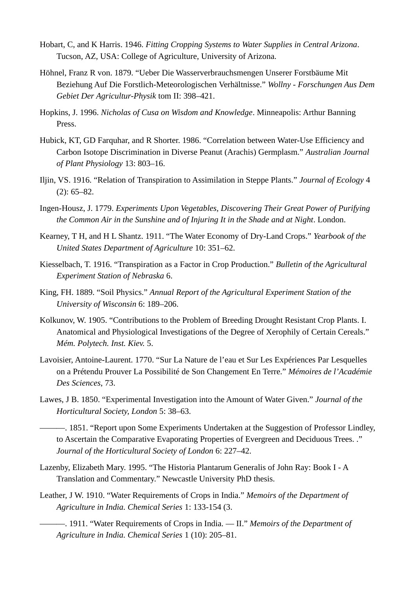- Hobart, C, and K Harris. 1946. *Fitting Cropping Systems to Water Supplies in Central Arizona*. Tucson, AZ, USA: College of Agriculture, University of Arizona.
- Höhnel, Franz R von. 1879. "Ueber Die Wasserverbrauchsmengen Unserer Forstbäume Mit Beziehung Auf Die Forstlich-Meteorologischen Verhältnisse." *Wollny - Forschungen Aus Dem Gebiet Der Agricultur-Physik* tom II: 398–421.
- Hopkins, J. 1996. *Nicholas of Cusa on Wisdom and Knowledge*. Minneapolis: Arthur Banning Press.
- Hubick, KT, GD Farquhar, and R Shorter. 1986. "Correlation between Water-Use Efficiency and Carbon Isotope Discrimination in Diverse Peanut (Arachis) Germplasm." *Australian Journal of Plant Physiology* 13: 803–16.
- Iljin, VS. 1916. "Relation of Transpiration to Assimilation in Steppe Plants." *Journal of Ecology* 4 (2): 65–82.
- Ingen-Housz, J. 1779. *Experiments Upon Vegetables, Discovering Their Great Power of Purifying the Common Air in the Sunshine and of Injuring It in the Shade and at Night*. London.
- Kearney, T H, and H L Shantz. 1911. "The Water Economy of Dry-Land Crops." *Yearbook of the United States Department of Agriculture* 10: 351–62.
- Kiesselbach, T. 1916. "Transpiration as a Factor in Crop Production." *Bulletin of the Agricultural Experiment Station of Nebraska* 6.
- King, FH. 1889. "Soil Physics." *Annual Report of the Agricultural Experiment Station of the University of Wisconsin* 6: 189–206.
- Kolkunov, W. 1905. "Contributions to the Problem of Breeding Drought Resistant Crop Plants. I. Anatomical and Physiological Investigations of the Degree of Xerophily of Certain Cereals." *Mém. Polytech. Inst. Kiev.* 5.
- Lavoisier, Antoine-Laurent. 1770. "Sur La Nature de l'eau et Sur Les Expériences Par Lesquelles on a Prétendu Prouver La Possibilité de Son Changement En Terre." *Mémoires de l'Académie Des Sciences*, 73.
- Lawes, J B. 1850. "Experimental Investigation into the Amount of Water Given." *Journal of the Horticultural Society, London* 5: 38–63.

———. 1851. "Report upon Some Experiments Undertaken at the Suggestion of Professor Lindley, to Ascertain the Comparative Evaporating Properties of Evergreen and Deciduous Trees. ." *Journal of the Horticultural Society of London* 6: 227–42.

- Lazenby, Elizabeth Mary. 1995. "The Historia Plantarum Generalis of John Ray: Book I A Translation and Commentary." Newcastle University PhD thesis.
- Leather, J W. 1910. "Water Requirements of Crops in India." *Memoirs of the Department of Agriculture in India. Chemical Series* 1: 133-154 (3.

———. 1911. "Water Requirements of Crops in India. — II." *Memoirs of the Department of Agriculture in India. Chemical Series* 1 (10): 205–81.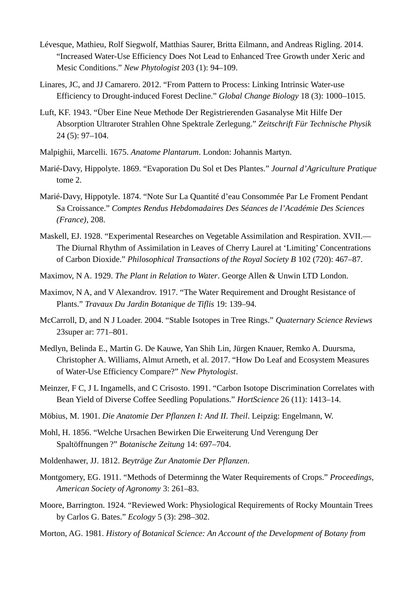- Lévesque, Mathieu, Rolf Siegwolf, Matthias Saurer, Britta Eilmann, and Andreas Rigling. 2014. "Increased Water-Use Efficiency Does Not Lead to Enhanced Tree Growth under Xeric and Mesic Conditions." *New Phytologist* 203 (1): 94–109.
- Linares, JC, and JJ Camarero. 2012. "From Pattern to Process: Linking Intrinsic Water‐use Efficiency to Drought‐induced Forest Decline." *Global Change Biology* 18 (3): 1000–1015.
- Luft, KF. 1943. "Über Eine Neue Methode Der Registrierenden Gasanalyse Mit Hilfe Der Absorption Ultraroter Strahlen Ohne Spektrale Zerlegung." *Zeitschrift Für Technische Physik* 24 (5): 97–104.
- Malpighii, Marcelli. 1675. *Anatome Plantarum*. London: Johannis Martyn.
- Marié-Davy, Hippolyte. 1869. "Evaporation Du Sol et Des Plantes." *Journal d'Agriculture Pratique* tome 2.
- Marié-Davy, Hippotyle. 1874. "Note Sur La Quantité d'eau Consommée Par Le Froment Pendant Sa Croissance." *Comptes Rendus Hebdomadaires Des Séances de l'Académie Des Sciences (France)*, 208.
- Maskell, EJ. 1928. "Experimental Researches on Vegetable Assimilation and Respiration. XVII.— The Diurnal Rhythm of Assimilation in Leaves of Cherry Laurel at 'Limiting' Concentrations of Carbon Dioxide." *Philosophical Transactions of the Royal Society B* 102 (720): 467–87.
- Maximov, N A. 1929. *The Plant in Relation to Water*. George Allen & Unwin LTD London.
- Maximov, N A, and V Alexandrov. 1917. "The Water Requirement and Drought Resistance of Plants." *Travaux Du Jardin Botanique de Tiflis* 19: 139–94.
- McCarroll, D, and N J Loader. 2004. "Stable Isotopes in Tree Rings." *Quaternary Science Reviews* 23super ar: 771–801.
- Medlyn, Belinda E., Martin G. De Kauwe, Yan Shih Lin, Jürgen Knauer, Remko A. Duursma, Christopher A. Williams, Almut Arneth, et al. 2017. "How Do Leaf and Ecosystem Measures of Water-Use Efficiency Compare?" *New Phytologist*.
- Meinzer, F C, J L Ingamells, and C Crisosto. 1991. "Carbon Isotope Discrimination Correlates with Bean Yield of Diverse Coffee Seedling Populations." *HortScience* 26 (11): 1413–14.
- Möbius, M. 1901. *Die Anatomie Der Pflanzen I: And II. Theil*. Leipzig: Engelmann, W.
- Mohl, H. 1856. "Welche Ursachen Bewirken Die Erweiterung Und Verengung Der Spaltöffnungen ?" *Botanische Zeitung* 14: 697–704.
- Moldenhawer, JJ. 1812. *Beyträge Zur Anatomie Der Pflanzen*.
- Montgomery, EG. 1911. "Methods of Determinng the Water Requirements of Crops." *Proceedings, American Society of Agronomy* 3: 261–83.
- Moore, Barrington. 1924. "Reviewed Work: Physiological Requirements of Rocky Mountain Trees by Carlos G. Bates." *Ecology* 5 (3): 298–302.
- Morton, AG. 1981. *History of Botanical Science: An Account of the Development of Botany from*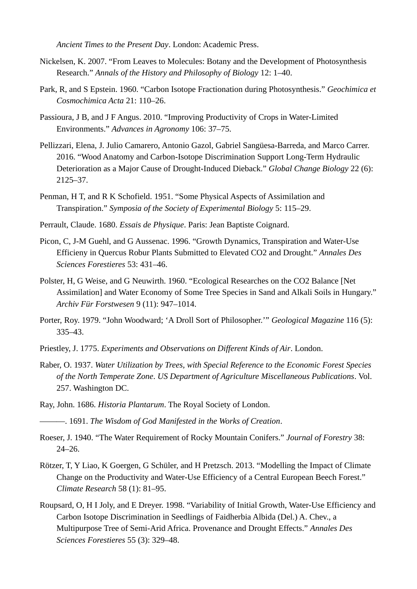*Ancient Times to the Present Day*. London: Academic Press.

- Nickelsen, K. 2007. "From Leaves to Molecules: Botany and the Development of Photosynthesis Research." *Annals of the History and Philosophy of Biology* 12: 1–40.
- Park, R, and S Epstein. 1960. "Carbon Isotope Fractionation during Photosynthesis." *Geochimica et Cosmochimica Acta* 21: 110–26.
- Passioura, J B, and J F Angus. 2010. "Improving Productivity of Crops in Water-Limited Environments." *Advances in Agronomy* 106: 37–75.
- Pellizzari, Elena, J. Julio Camarero, Antonio Gazol, Gabriel Sangüesa-Barreda, and Marco Carrer. 2016. "Wood Anatomy and Carbon-Isotope Discrimination Support Long-Term Hydraulic Deterioration as a Major Cause of Drought-Induced Dieback." *Global Change Biology* 22 (6): 2125–37.
- Penman, H T, and R K Schofield. 1951. "Some Physical Aspects of Assimilation and Transpiration." *Symposia of the Society of Experimental Biology* 5: 115–29.
- Perrault, Claude. 1680. *Essais de Physique*. Paris: Jean Baptiste Coignard.
- Picon, C, J-M Guehl, and G Aussenac. 1996. "Growth Dynamics, Transpiration and Water-Use Efficieny in Quercus Robur Plants Submitted to Elevated CO2 and Drought." *Annales Des Sciences Forestieres* 53: 431–46.
- Polster, H, G Weise, and G Neuwirth. 1960. "Ecological Researches on the CO2 Balance [Net Assimilation] and Water Economy of Some Tree Species in Sand and Alkali Soils in Hungary." *Archiv Für Forstwesen* 9 (11): 947–1014.
- Porter, Roy. 1979. "John Woodward; 'A Droll Sort of Philosopher.'" *Geological Magazine* 116 (5): 335–43.
- Priestley, J. 1775. *Experiments and Observations on Different Kinds of Air*. London.
- Raber, O. 1937. *Water Utilization by Trees, with Special Reference to the Economic Forest Species of the North Temperate Zone*. *US Department of Agriculture Miscellaneous Publications*. Vol. 257. Washington DC.
- Ray, John. 1686. *Historia Plantarum*. The Royal Society of London.
- ———. 1691. *The Wisdom of God Manifested in the Works of Creation*.
- Roeser, J. 1940. "The Water Requirement of Rocky Mountain Conifers." *Journal of Forestry* 38: 24–26.
- Rötzer, T, Y Liao, K Goergen, G Schüler, and H Pretzsch. 2013. "Modelling the Impact of Climate Change on the Productivity and Water-Use Efficiency of a Central European Beech Forest." *Climate Research* 58 (1): 81–95.
- Roupsard, O, H I Joly, and E Dreyer. 1998. "Variability of Initial Growth, Water-Use Efficiency and Carbon Isotope Discrimination in Seedlings of Faidherbia Albida (Del.) A. Chev., a Multipurpose Tree of Semi-Arid Africa. Provenance and Drought Effects." *Annales Des Sciences Forestieres* 55 (3): 329–48.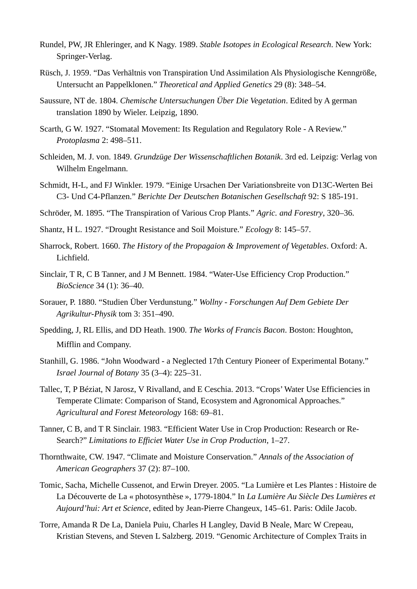- Rundel, PW, JR Ehleringer, and K Nagy. 1989. *Stable Isotopes in Ecological Research*. New York: Springer-Verlag.
- Rüsch, J. 1959. "Das Verhältnis von Transpiration Und Assimilation Als Physiologische Kenngröße, Untersucht an Pappelklonen." *Theoretical and Applied Genetics* 29 (8): 348–54.
- Saussure, NT de. 1804. *Chemische Untersuchungen Über Die Vegetation*. Edited by A german translation 1890 by Wieler. Leipzig, 1890.
- Scarth, G W. 1927. "Stomatal Movement: Its Regulation and Regulatory Role A Review." *Protoplasma* 2: 498–511.
- Schleiden, M. J. von. 1849. *Grundzüge Der Wissenschaftlichen Botanik*. 3rd ed. Leipzig: Verlag von Wilhelm Engelmann.
- Schmidt, H-L, and FJ Winkler. 1979. "Einige Ursachen Der Variationsbreite von D13C-Werten Bei C3- Und C4-Pflanzen." *Berichte Der Deutschen Botanischen Gesellschaft* 92: S 185-191.
- Schröder, M. 1895. "The Transpiration of Various Crop Plants." *Agric. and Forestry*, 320–36.
- Shantz, H L. 1927. "Drought Resistance and Soil Moisture." *Ecology* 8: 145–57.
- Sharrock, Robert. 1660. *The History of the Propagaion & Improvement of Vegetables*. Oxford: A. Lichfield.
- Sinclair, T R, C B Tanner, and J M Bennett. 1984. "Water-Use Efficiency Crop Production." *BioScience* 34 (1): 36–40.
- Sorauer, P. 1880. "Studien Über Verdunstung." *Wollny Forschungen Auf Dem Gebiete Der Agrikultur-Physik* tom 3: 351–490.
- Spedding, J, RL Ellis, and DD Heath. 1900. *The Works of Francis Bacon*. Boston: Houghton, Mifflin and Company.
- Stanhill, G. 1986. "John Woodward a Neglected 17th Century Pioneer of Experimental Botany." *Israel Journal of Botany* 35 (3–4): 225–31.
- Tallec, T, P Béziat, N Jarosz, V Rivalland, and E Ceschia. 2013. "Crops' Water Use Efficiencies in Temperate Climate: Comparison of Stand, Ecosystem and Agronomical Approaches." *Agricultural and Forest Meteorology* 168: 69–81.
- Tanner, C B, and T R Sinclair. 1983. "Efficient Water Use in Crop Production: Research or Re-Search?" *Limitations to Efficiet Water Use in Crop Production*, 1–27.
- Thornthwaite, CW. 1947. "Climate and Moisture Conservation." *Annals of the Association of American Geographers* 37 (2): 87–100.
- Tomic, Sacha, Michelle Cussenot, and Erwin Dreyer. 2005. "La Lumière et Les Plantes : Histoire de La Découverte de La « photosynthèse », 1779-1804." In *La Lumière Au Siècle Des Lumières et Aujourd'hui: Art et Science*, edited by Jean-Pierre Changeux, 145–61. Paris: Odile Jacob.
- Torre, Amanda R De La, Daniela Puiu, Charles H Langley, David B Neale, Marc W Crepeau, Kristian Stevens, and Steven L Salzberg. 2019. "Genomic Architecture of Complex Traits in